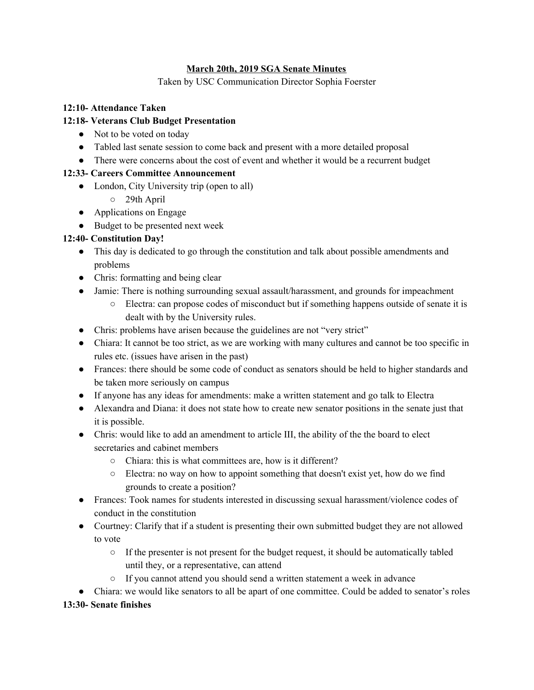### **March 20th, 2019 SGA Senate Minutes**

Taken by USC Communication Director Sophia Foerster

### **12:10- Attendance Taken**

### **12:18- Veterans Club Budget Presentation**

- Not to be voted on today
- Tabled last senate session to come back and present with a more detailed proposal
- There were concerns about the cost of event and whether it would be a recurrent budget

### **12:33- Careers Committee Announcement**

- London, City University trip (open to all)
	- 29th April
- Applications on Engage
- Budget to be presented next week

## **12:40- Constitution Day!**

- This day is dedicated to go through the constitution and talk about possible amendments and problems
- Chris: formatting and being clear
- Jamie: There is nothing surrounding sexual assault/harassment, and grounds for impeachment
	- Electra: can propose codes of misconduct but if something happens outside of senate it is dealt with by the University rules.
- Chris: problems have arisen because the guidelines are not "very strict"
- Chiara: It cannot be too strict, as we are working with many cultures and cannot be too specific in rules etc. (issues have arisen in the past)
- Frances: there should be some code of conduct as senators should be held to higher standards and be taken more seriously on campus
- If anyone has any ideas for amendments: make a written statement and go talk to Electra
- Alexandra and Diana: it does not state how to create new senator positions in the senate just that it is possible.
- Chris: would like to add an amendment to article III, the ability of the the board to elect secretaries and cabinet members
	- Chiara: this is what committees are, how is it different?
	- Electra: no way on how to appoint something that doesn't exist yet, how do we find grounds to create a position?
- Frances: Took names for students interested in discussing sexual harassment/violence codes of conduct in the constitution
- Courtney: Clarify that if a student is presenting their own submitted budget they are not allowed to vote
	- If the presenter is not present for the budget request, it should be automatically tabled until they, or a representative, can attend
	- If you cannot attend you should send a written statement a week in advance

● Chiara: we would like senators to all be apart of one committee. Could be added to senator's roles

#### **13:30- Senate finishes**